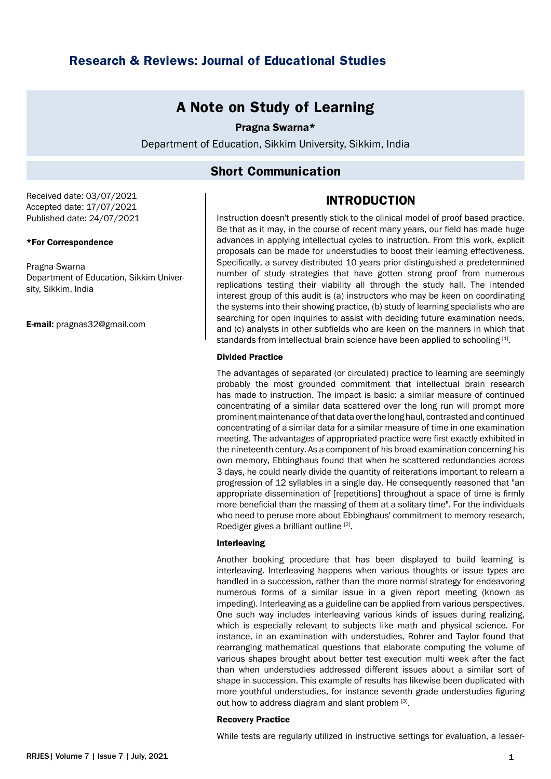# **Research & Reviews: Journal of Educational Studies**

# **A Note on Study of Learning**

### Pragna Swarna\*

Department of Education, Sikkim University, Sikkim, India

## **Short Communication**

Received date: 03/07/2021 Accepted date: 17/07/2021 Published date: 24/07/2021

#### \*For Correspondence

Pragna Swarna Department of Education, Sikkim University, Sikkim, India

E-mail: pragnas32@gmail.com

# **INTRODUCTION**

Instruction doesn't presently stick to the clinical model of proof based practice. Be that as it may, in the course of recent many years, our field has made huge advances in applying intellectual cycles to instruction. From this work, explicit proposals can be made for understudies to boost their learning effectiveness. Specifically, a survey distributed 10 years prior distinguished a predetermined number of study strategies that have gotten strong proof from numerous replications testing their viability all through the study hall. The intended interest group of this audit is (a) instructors who may be keen on coordinating the systems into their showing practice, (b) study of learning specialists who are searching for open inquiries to assist with deciding future examination needs, and (c) analysts in other subfields who are keen on the manners in which that standards from intellectual brain science have been applied to schooling [1].

#### Divided Practice

The advantages of separated (or circulated) practice to learning are seemingly probably the most grounded commitment that intellectual brain research has made to instruction. The impact is basic: a similar measure of continued concentrating of a similar data scattered over the long run will prompt more prominent maintenance of that data over the long haul, contrasted and continued concentrating of a similar data for a similar measure of time in one examination meeting. The advantages of appropriated practice were first exactly exhibited in the nineteenth century. As a component of his broad examination concerning his own memory, Ebbinghaus found that when he scattered redundancies across 3 days, he could nearly divide the quantity of reiterations important to relearn a progression of 12 syllables in a single day. He consequently reasoned that "an appropriate dissemination of [repetitions] throughout a space of time is firmly more beneficial than the massing of them at a solitary time". For the individuals who need to peruse more about Ebbinghaus' commitment to memory research, Roediger gives a brilliant outline [2].

#### Interleaving

Another booking procedure that has been displayed to build learning is interleaving. Interleaving happens when various thoughts or issue types are handled in a succession, rather than the more normal strategy for endeavoring numerous forms of a similar issue in a given report meeting (known as impeding). Interleaving as a guideline can be applied from various perspectives. One such way includes interleaving various kinds of issues during realizing, which is especially relevant to subjects like math and physical science. For instance, in an examination with understudies, Rohrer and Taylor found that rearranging mathematical questions that elaborate computing the volume of various shapes brought about better test execution multi week after the fact than when understudies addressed different issues about a similar sort of shape in succession. This example of results has likewise been duplicated with more youthful understudies, for instance seventh grade understudies figuring out how to address diagram and slant problem [3].

#### Recovery Practice

While tests are regularly utilized in instructive settings for evaluation, a lesser-